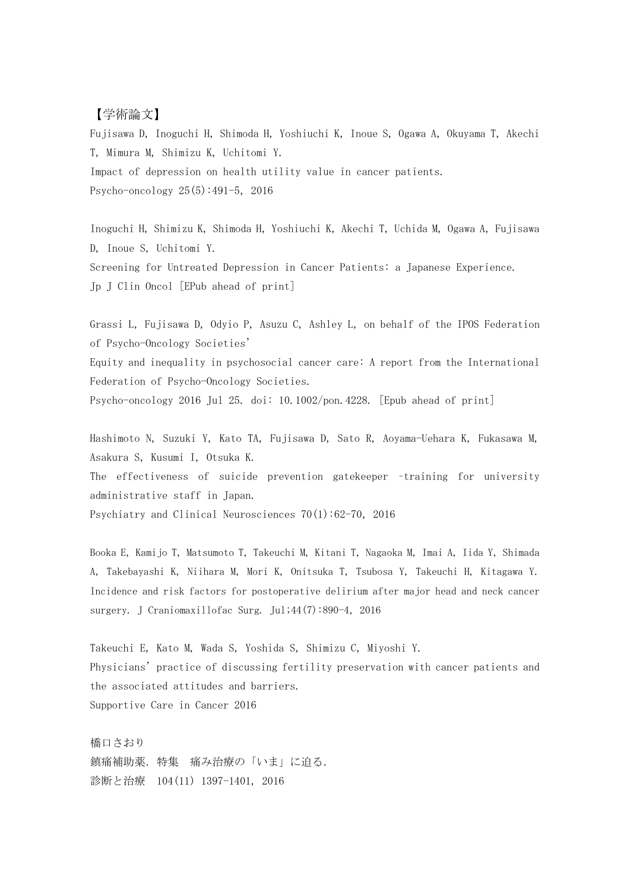## 【学術論文】

Fujisawa D, Inoguchi H, Shimoda H, Yoshiuchi K, Inoue S, Ogawa A, Okuyama T, Akechi T, Mimura M, Shimizu K, Uchitomi Y. Impact of depression on health utility value in cancer patients. Psycho-oncology 25(5):491-5,2016

Inoguchi H, Shimizu K, Shimoda H, Yoshiuchi K, Akechi T, Uchida M, Ogawa A, Fujisawa D, Inoue S, Uchitomi Y. Screening for Untreated Depression in Cancer Patients: a Japanese Experience. Jp J Clin Oncol [EPub ahead of print]

Grassi L, Fujisawa D, Odyio P, Asuzu C, Ashley L, on behalf of the IPOS Federation of Psycho-Oncology Societies' Equity and inequality in psychosocial cancer care: A report from the International Federation of Psycho-Oncology Societies.

Psycho-oncology 2016 Jul 25. doi: 10.1002/pon.4228. [Epub ahead of print]

Hashimoto N, Suzuki Y, Kato TA, Fujisawa D, Sato R, Aoyama-Uehara K, Fukasawa M, Asakura S, Kusumi I, Otsuka K.

The effectiveness of suicide prevention gatekeeper –training for university administrative staff in Japan.

Psychiatry and Clinical Neurosciences  $70(1):62-70$ , 2016

Booka E, Kamijo T, Matsumoto T, Takeuchi M, Kitani T, Nagaoka M, Imai A, Iida Y, Shimada A, Takebayashi K, Niihara M, Mori K, Onitsuka T, Tsubosa Y, Takeuchi H, Kitagawa Y. Incidence and risk factors for postoperative delirium after major head and neck cancer surgery. J Craniomaxillofac Surg. Jul;44(7):890-4, 2016

Takeuchi E, Kato M, Wada S, Yoshida S, Shimizu C, Miyoshi Y. Physicians'practice of discussing fertility preservation with cancer patients and the associated attitudes and barriers. Supportive Care in Cancer 2016

橋口さおり 鎮痛補助薬. 特集 痛み治療の「いま」に迫る. 診断と治療 104(11) 1397-1401, 2016